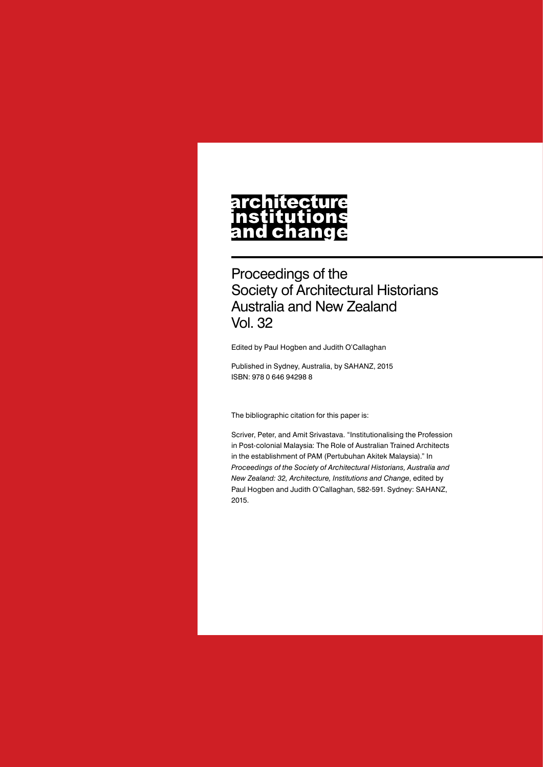# architecture nstitutions<br>and change

Proceedings of the Society of Architectural Historians Australia and New Zealand Vol. 32

Edited by Paul Hogben and Judith O'Callaghan

Published in Sydney, Australia, by SAHANZ, 2015 ISBN: 978 0 646 94298 8

The bibliographic citation for this paper is:

Scriver, Peter, and Amit Srivastava. "Institutionalising the Profession in Post-colonial Malaysia: The Role of Australian Trained Architects in the establishment of PAM (Pertubuhan Akitek Malaysia)." In *Proceedings of the Society of Architectural Historians, Australia and New Zealand: 32, Architecture, Institutions and Change*, edited by Paul Hogben and Judith O'Callaghan, 582-591. Sydney: SAHANZ, 2015.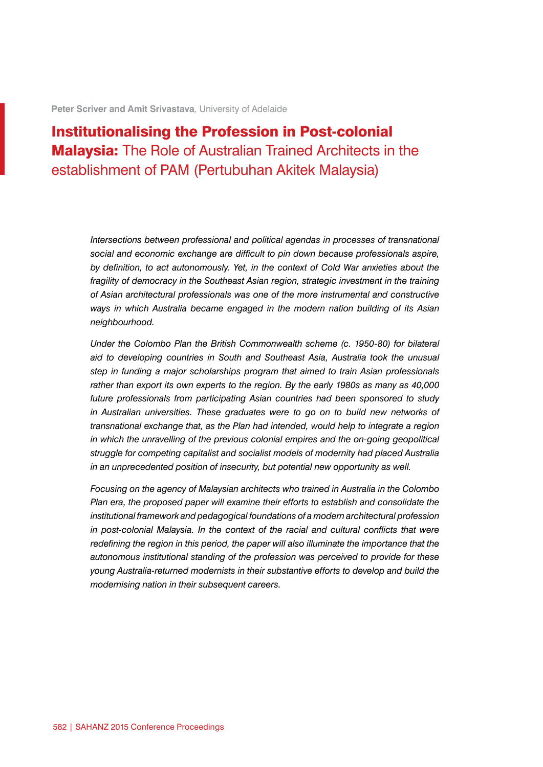**Peter Scriver and Amit Srivastava***,* University of Adelaide

## Institutionalising the Profession in Post-colonial Malaysia: The Role of Australian Trained Architects in the establishment of PAM (Pertubuhan Akitek Malaysia)

*Intersections between professional and political agendas in processes of transnational social and economic exchange are difficult to pin down because professionals aspire, by definition, to act autonomously. Yet, in the context of Cold War anxieties about the fragility of democracy in the Southeast Asian region, strategic investment in the training of Asian architectural professionals was one of the more instrumental and constructive ways in which Australia became engaged in the modern nation building of its Asian neighbourhood.*

*Under the Colombo Plan the British Commonwealth scheme (c. 1950-80) for bilateral aid to developing countries in South and Southeast Asia, Australia took the unusual step in funding a major scholarships program that aimed to train Asian professionals rather than export its own experts to the region. By the early 1980s as many as 40,000 future professionals from participating Asian countries had been sponsored to study in Australian universities. These graduates were to go on to build new networks of transnational exchange that, as the Plan had intended, would help to integrate a region in which the unravelling of the previous colonial empires and the on-going geopolitical struggle for competing capitalist and socialist models of modernity had placed Australia in an unprecedented position of insecurity, but potential new opportunity as well.*

*Focusing on the agency of Malaysian architects who trained in Australia in the Colombo Plan era, the proposed paper will examine their efforts to establish and consolidate the institutional framework and pedagogical foundations of a modern architectural profession in post-colonial Malaysia. In the context of the racial and cultural conflicts that were redefining the region in this period, the paper will also illuminate the importance that the autonomous institutional standing of the profession was perceived to provide for these young Australia-returned modernists in their substantive efforts to develop and build the modernising nation in their subsequent careers.*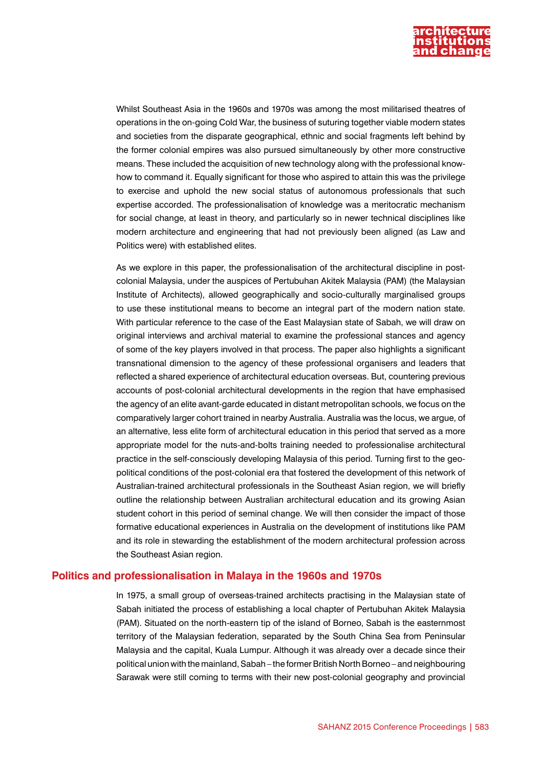

Whilst Southeast Asia in the 1960s and 1970s was among the most militarised theatres of operations in the on-going Cold War, the business of suturing together viable modern states and societies from the disparate geographical, ethnic and social fragments left behind by the former colonial empires was also pursued simultaneously by other more constructive means. These included the acquisition of new technology along with the professional knowhow to command it. Equally significant for those who aspired to attain this was the privilege to exercise and uphold the new social status of autonomous professionals that such expertise accorded. The professionalisation of knowledge was a meritocratic mechanism for social change, at least in theory, and particularly so in newer technical disciplines like modern architecture and engineering that had not previously been aligned (as Law and Politics were) with established elites.

As we explore in this paper, the professionalisation of the architectural discipline in postcolonial Malaysia, under the auspices of Pertubuhan Akitek Malaysia (PAM) (the Malaysian Institute of Architects), allowed geographically and socio-culturally marginalised groups to use these institutional means to become an integral part of the modern nation state. With particular reference to the case of the East Malaysian state of Sabah, we will draw on original interviews and archival material to examine the professional stances and agency of some of the key players involved in that process. The paper also highlights a significant transnational dimension to the agency of these professional organisers and leaders that reflected a shared experience of architectural education overseas. But, countering previous accounts of post-colonial architectural developments in the region that have emphasised the agency of an elite avant-garde educated in distant metropolitan schools, we focus on the comparatively larger cohort trained in nearby Australia. Australia was the locus, we argue, of an alternative, less elite form of architectural education in this period that served as a more appropriate model for the nuts-and-bolts training needed to professionalise architectural practice in the self-consciously developing Malaysia of this period. Turning first to the geopolitical conditions of the post-colonial era that fostered the development of this network of Australian-trained architectural professionals in the Southeast Asian region, we will briefly outline the relationship between Australian architectural education and its growing Asian student cohort in this period of seminal change. We will then consider the impact of those formative educational experiences in Australia on the development of institutions like PAM and its role in stewarding the establishment of the modern architectural profession across the Southeast Asian region.

#### **Politics and professionalisation in Malaya in the 1960s and 1970s**

In 1975, a small group of overseas-trained architects practising in the Malaysian state of Sabah initiated the process of establishing a local chapter of Pertubuhan Akitek Malaysia (PAM). Situated on the north-eastern tip of the island of Borneo, Sabah is the easternmost territory of the Malaysian federation, separated by the South China Sea from Peninsular Malaysia and the capital, Kuala Lumpur. Although it was already over a decade since their political union with the mainland, Sabah – the former British North Borneo – and neighbouring Sarawak were still coming to terms with their new post-colonial geography and provincial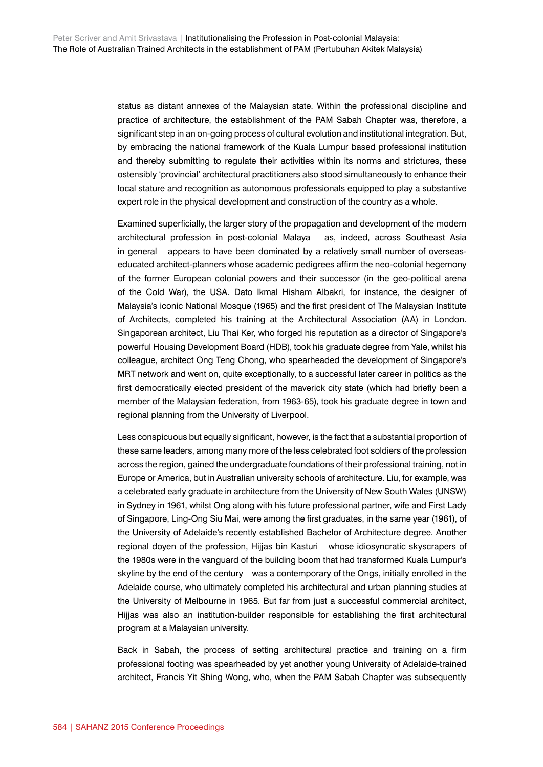status as distant annexes of the Malaysian state. Within the professional discipline and practice of architecture, the establishment of the PAM Sabah Chapter was, therefore, a significant step in an on-going process of cultural evolution and institutional integration. But, by embracing the national framework of the Kuala Lumpur based professional institution and thereby submitting to regulate their activities within its norms and strictures, these ostensibly 'provincial' architectural practitioners also stood simultaneously to enhance their local stature and recognition as autonomous professionals equipped to play a substantive expert role in the physical development and construction of the country as a whole.

Examined superficially, the larger story of the propagation and development of the modern architectural profession in post-colonial Malaya – as, indeed, across Southeast Asia in general – appears to have been dominated by a relatively small number of overseaseducated architect-planners whose academic pedigrees affirm the neo-colonial hegemony of the former European colonial powers and their successor (in the geo-political arena of the Cold War), the USA. Dato Ikmal Hisham Albakri, for instance, the designer of Malaysia's iconic National Mosque (1965) and the first president of The Malaysian Institute of Architects, completed his training at the Architectural Association (AA) in London. Singaporean architect, Liu Thai Ker, who forged his reputation as a director of Singapore's powerful Housing Development Board (HDB), took his graduate degree from Yale, whilst his colleague, architect Ong Teng Chong, who spearheaded the development of Singapore's MRT network and went on, quite exceptionally, to a successful later career in politics as the first democratically elected president of the maverick city state (which had briefly been a member of the Malaysian federation, from 1963-65), took his graduate degree in town and regional planning from the University of Liverpool.

Less conspicuous but equally significant, however, is the fact that a substantial proportion of these same leaders, among many more of the less celebrated foot soldiers of the profession across the region, gained the undergraduate foundations of their professional training, not in Europe or America, but in Australian university schools of architecture. Liu, for example, was a celebrated early graduate in architecture from the University of New South Wales (UNSW) in Sydney in 1961, whilst Ong along with his future professional partner, wife and First Lady of Singapore, Ling-Ong Siu Mai, were among the first graduates, in the same year (1961), of the University of Adelaide's recently established Bachelor of Architecture degree. Another regional doyen of the profession, Hijjas bin Kasturi – whose idiosyncratic skyscrapers of the 1980s were in the vanguard of the building boom that had transformed Kuala Lumpur's skyline by the end of the century – was a contemporary of the Ongs, initially enrolled in the Adelaide course, who ultimately completed his architectural and urban planning studies at the University of Melbourne in 1965. But far from just a successful commercial architect, Hijjas was also an institution-builder responsible for establishing the first architectural program at a Malaysian university.

Back in Sabah, the process of setting architectural practice and training on a firm professional footing was spearheaded by yet another young University of Adelaide-trained architect, Francis Yit Shing Wong, who, when the PAM Sabah Chapter was subsequently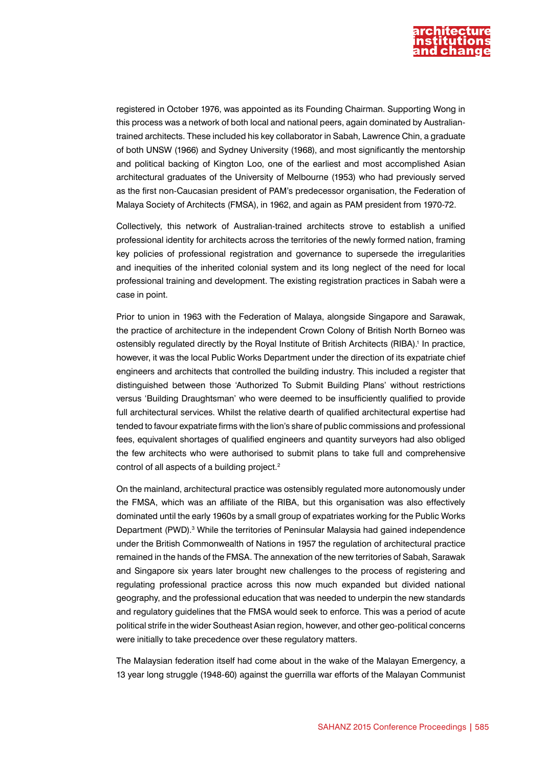

registered in October 1976, was appointed as its Founding Chairman. Supporting Wong in this process was a network of both local and national peers, again dominated by Australiantrained architects. These included his key collaborator in Sabah, Lawrence Chin, a graduate of both UNSW (1966) and Sydney University (1968), and most significantly the mentorship and political backing of Kington Loo, one of the earliest and most accomplished Asian architectural graduates of the University of Melbourne (1953) who had previously served as the first non-Caucasian president of PAM's predecessor organisation, the Federation of Malaya Society of Architects (FMSA), in 1962, and again as PAM president from 1970-72.

Collectively, this network of Australian-trained architects strove to establish a unified professional identity for architects across the territories of the newly formed nation, framing key policies of professional registration and governance to supersede the irregularities and inequities of the inherited colonial system and its long neglect of the need for local professional training and development. The existing registration practices in Sabah were a case in point.

Prior to union in 1963 with the Federation of Malaya, alongside Singapore and Sarawak, the practice of architecture in the independent Crown Colony of British North Borneo was ostensibly regulated directly by the Royal Institute of British Architects (RIBA).<sup>1</sup> In practice, however, it was the local Public Works Department under the direction of its expatriate chief engineers and architects that controlled the building industry. This included a register that distinguished between those 'Authorized To Submit Building Plans' without restrictions versus 'Building Draughtsman' who were deemed to be insufficiently qualified to provide full architectural services. Whilst the relative dearth of qualified architectural expertise had tended to favour expatriate firms with the lion's share of public commissions and professional fees, equivalent shortages of qualified engineers and quantity surveyors had also obliged the few architects who were authorised to submit plans to take full and comprehensive control of all aspects of a building project.<sup>2</sup>

On the mainland, architectural practice was ostensibly regulated more autonomously under the FMSA, which was an affiliate of the RIBA, but this organisation was also effectively dominated until the early 1960s by a small group of expatriates working for the Public Works Department (PWD).<sup>3</sup> While the territories of Peninsular Malaysia had gained independence under the British Commonwealth of Nations in 1957 the regulation of architectural practice remained in the hands of the FMSA. The annexation of the new territories of Sabah, Sarawak and Singapore six years later brought new challenges to the process of registering and regulating professional practice across this now much expanded but divided national geography, and the professional education that was needed to underpin the new standards and regulatory guidelines that the FMSA would seek to enforce. This was a period of acute political strife in the wider Southeast Asian region, however, and other geo-political concerns were initially to take precedence over these regulatory matters.

The Malaysian federation itself had come about in the wake of the Malayan Emergency, a 13 year long struggle (1948-60) against the guerrilla war efforts of the Malayan Communist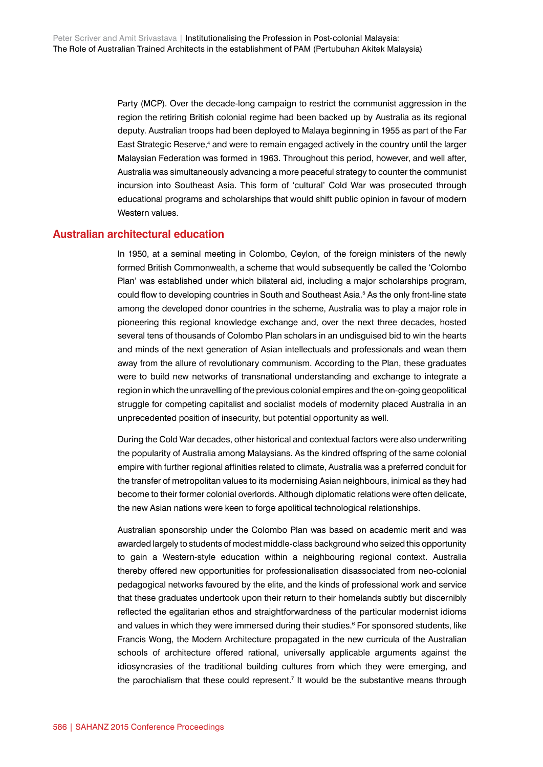Party (MCP). Over the decade-long campaign to restrict the communist aggression in the region the retiring British colonial regime had been backed up by Australia as its regional deputy. Australian troops had been deployed to Malaya beginning in 1955 as part of the Far East Strategic Reserve,<sup>4</sup> and were to remain engaged actively in the country until the larger Malaysian Federation was formed in 1963. Throughout this period, however, and well after, Australia was simultaneously advancing a more peaceful strategy to counter the communist incursion into Southeast Asia. This form of 'cultural' Cold War was prosecuted through educational programs and scholarships that would shift public opinion in favour of modern Western values.

#### **Australian architectural education**

In 1950, at a seminal meeting in Colombo, Ceylon, of the foreign ministers of the newly formed British Commonwealth, a scheme that would subsequently be called the 'Colombo Plan' was established under which bilateral aid, including a major scholarships program, could flow to developing countries in South and Southeast Asia.<sup>5</sup> As the only front-line state among the developed donor countries in the scheme, Australia was to play a major role in pioneering this regional knowledge exchange and, over the next three decades, hosted several tens of thousands of Colombo Plan scholars in an undisguised bid to win the hearts and minds of the next generation of Asian intellectuals and professionals and wean them away from the allure of revolutionary communism. According to the Plan, these graduates were to build new networks of transnational understanding and exchange to integrate a region in which the unravelling of the previous colonial empires and the on-going geopolitical struggle for competing capitalist and socialist models of modernity placed Australia in an unprecedented position of insecurity, but potential opportunity as well.

During the Cold War decades, other historical and contextual factors were also underwriting the popularity of Australia among Malaysians. As the kindred offspring of the same colonial empire with further regional affinities related to climate, Australia was a preferred conduit for the transfer of metropolitan values to its modernising Asian neighbours, inimical as they had become to their former colonial overlords. Although diplomatic relations were often delicate, the new Asian nations were keen to forge apolitical technological relationships.

Australian sponsorship under the Colombo Plan was based on academic merit and was awarded largely to students of modest middle-class background who seized this opportunity to gain a Western-style education within a neighbouring regional context. Australia thereby offered new opportunities for professionalisation disassociated from neo-colonial pedagogical networks favoured by the elite, and the kinds of professional work and service that these graduates undertook upon their return to their homelands subtly but discernibly reflected the egalitarian ethos and straightforwardness of the particular modernist idioms and values in which they were immersed during their studies.<sup>6</sup> For sponsored students, like Francis Wong, the Modern Architecture propagated in the new curricula of the Australian schools of architecture offered rational, universally applicable arguments against the idiosyncrasies of the traditional building cultures from which they were emerging, and the parochialism that these could represent.<sup>7</sup> It would be the substantive means through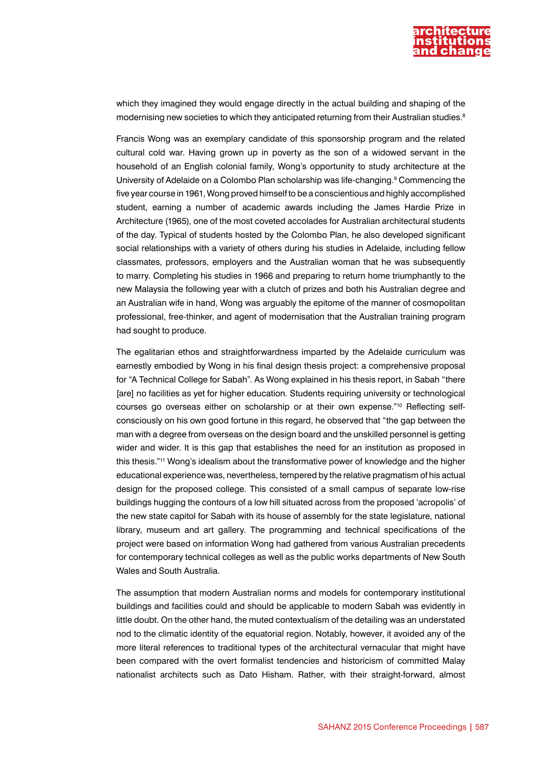

which they imagined they would engage directly in the actual building and shaping of the modernising new societies to which they anticipated returning from their Australian studies.<sup>8</sup>

Francis Wong was an exemplary candidate of this sponsorship program and the related cultural cold war. Having grown up in poverty as the son of a widowed servant in the household of an English colonial family, Wong's opportunity to study architecture at the University of Adelaide on a Colombo Plan scholarship was life-changing.<sup>9</sup> Commencing the five year course in 1961, Wong proved himself to be a conscientious and highly accomplished student, earning a number of academic awards including the James Hardie Prize in Architecture (1965), one of the most coveted accolades for Australian architectural students of the day. Typical of students hosted by the Colombo Plan, he also developed significant social relationships with a variety of others during his studies in Adelaide, including fellow classmates, professors, employers and the Australian woman that he was subsequently to marry. Completing his studies in 1966 and preparing to return home triumphantly to the new Malaysia the following year with a clutch of prizes and both his Australian degree and an Australian wife in hand, Wong was arguably the epitome of the manner of cosmopolitan professional, free-thinker, and agent of modernisation that the Australian training program had sought to produce.

The egalitarian ethos and straightforwardness imparted by the Adelaide curriculum was earnestly embodied by Wong in his final design thesis project: a comprehensive proposal for "A Technical College for Sabah". As Wong explained in his thesis report, in Sabah "there [are] no facilities as yet for higher education. Students requiring university or technological courses go overseas either on scholarship or at their own expense."10 Reflecting selfconsciously on his own good fortune in this regard, he observed that "the gap between the man with a degree from overseas on the design board and the unskilled personnel is getting wider and wider. It is this gap that establishes the need for an institution as proposed in this thesis."11 Wong's idealism about the transformative power of knowledge and the higher educational experience was, nevertheless, tempered by the relative pragmatism of his actual design for the proposed college. This consisted of a small campus of separate low-rise buildings hugging the contours of a low hill situated across from the proposed 'acropolis' of the new state capitol for Sabah with its house of assembly for the state legislature, national library, museum and art gallery. The programming and technical specifications of the project were based on information Wong had gathered from various Australian precedents for contemporary technical colleges as well as the public works departments of New South Wales and South Australia.

The assumption that modern Australian norms and models for contemporary institutional buildings and facilities could and should be applicable to modern Sabah was evidently in little doubt. On the other hand, the muted contextualism of the detailing was an understated nod to the climatic identity of the equatorial region. Notably, however, it avoided any of the more literal references to traditional types of the architectural vernacular that might have been compared with the overt formalist tendencies and historicism of committed Malay nationalist architects such as Dato Hisham. Rather, with their straight-forward, almost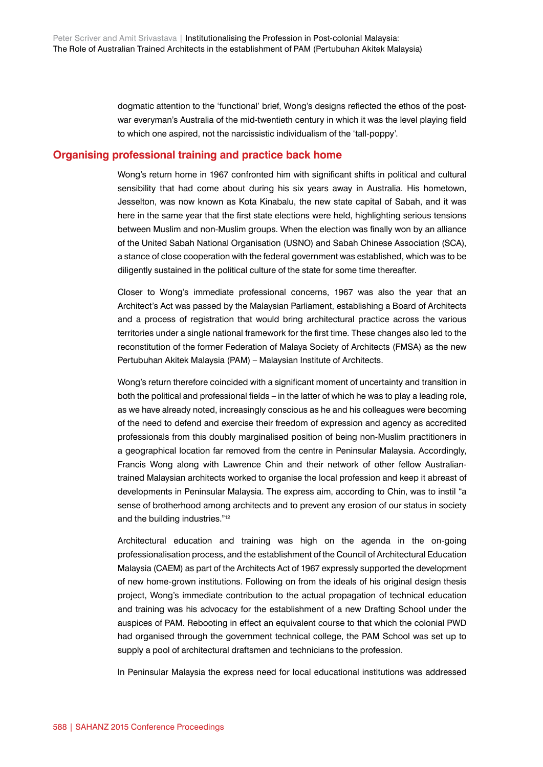dogmatic attention to the 'functional' brief, Wong's designs reflected the ethos of the postwar everyman's Australia of the mid-twentieth century in which it was the level playing field to which one aspired, not the narcissistic individualism of the 'tall-poppy'.

### **Organising professional training and practice back home**

Wong's return home in 1967 confronted him with significant shifts in political and cultural sensibility that had come about during his six years away in Australia. His hometown, Jesselton, was now known as Kota Kinabalu, the new state capital of Sabah, and it was here in the same year that the first state elections were held, highlighting serious tensions between Muslim and non-Muslim groups. When the election was finally won by an alliance of the United Sabah National Organisation (USNO) and Sabah Chinese Association (SCA), a stance of close cooperation with the federal government was established, which was to be diligently sustained in the political culture of the state for some time thereafter.

Closer to Wong's immediate professional concerns, 1967 was also the year that an Architect's Act was passed by the Malaysian Parliament, establishing a Board of Architects and a process of registration that would bring architectural practice across the various territories under a single national framework for the first time. These changes also led to the reconstitution of the former Federation of Malaya Society of Architects (FMSA) as the new Pertubuhan Akitek Malaysia (PAM) – Malaysian Institute of Architects.

Wong's return therefore coincided with a significant moment of uncertainty and transition in both the political and professional fields – in the latter of which he was to play a leading role, as we have already noted, increasingly conscious as he and his colleagues were becoming of the need to defend and exercise their freedom of expression and agency as accredited professionals from this doubly marginalised position of being non-Muslim practitioners in a geographical location far removed from the centre in Peninsular Malaysia. Accordingly, Francis Wong along with Lawrence Chin and their network of other fellow Australiantrained Malaysian architects worked to organise the local profession and keep it abreast of developments in Peninsular Malaysia. The express aim, according to Chin, was to instil "a sense of brotherhood among architects and to prevent any erosion of our status in society and the building industries."12

Architectural education and training was high on the agenda in the on-going professionalisation process, and the establishment of the Council of Architectural Education Malaysia (CAEM) as part of the Architects Act of 1967 expressly supported the development of new home-grown institutions. Following on from the ideals of his original design thesis project, Wong's immediate contribution to the actual propagation of technical education and training was his advocacy for the establishment of a new Drafting School under the auspices of PAM. Rebooting in effect an equivalent course to that which the colonial PWD had organised through the government technical college, the PAM School was set up to supply a pool of architectural draftsmen and technicians to the profession.

In Peninsular Malaysia the express need for local educational institutions was addressed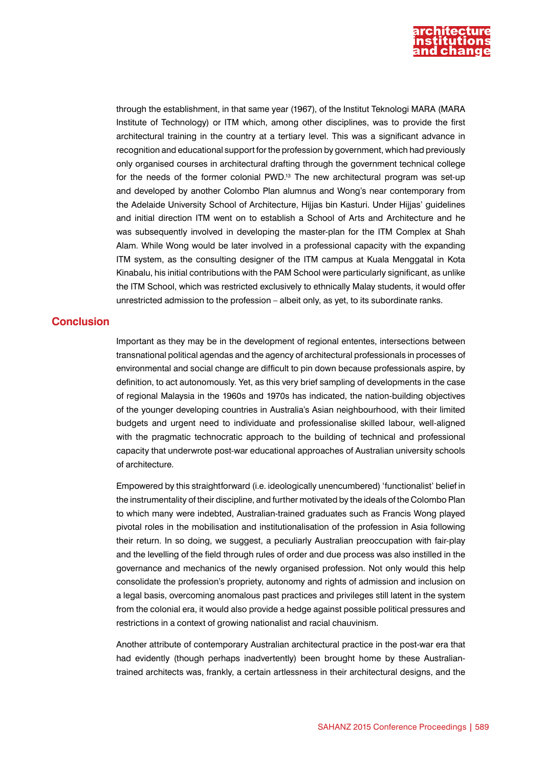

through the establishment, in that same year (1967), of the Institut Teknologi MARA (MARA Institute of Technology) or ITM which, among other disciplines, was to provide the first architectural training in the country at a tertiary level. This was a significant advance in recognition and educational support for the profession by government, which had previously only organised courses in architectural drafting through the government technical college for the needs of the former colonial PWD.<sup>13</sup> The new architectural program was set-up and developed by another Colombo Plan alumnus and Wong's near contemporary from the Adelaide University School of Architecture, Hijjas bin Kasturi. Under Hijjas' guidelines and initial direction ITM went on to establish a School of Arts and Architecture and he was subsequently involved in developing the master-plan for the ITM Complex at Shah Alam. While Wong would be later involved in a professional capacity with the expanding ITM system, as the consulting designer of the ITM campus at Kuala Menggatal in Kota Kinabalu, his initial contributions with the PAM School were particularly significant, as unlike the ITM School, which was restricted exclusively to ethnically Malay students, it would offer unrestricted admission to the profession – albeit only, as yet, to its subordinate ranks.

#### **Conclusion**

Important as they may be in the development of regional ententes, intersections between transnational political agendas and the agency of architectural professionals in processes of environmental and social change are difficult to pin down because professionals aspire, by definition, to act autonomously. Yet, as this very brief sampling of developments in the case of regional Malaysia in the 1960s and 1970s has indicated, the nation-building objectives of the younger developing countries in Australia's Asian neighbourhood, with their limited budgets and urgent need to individuate and professionalise skilled labour, well-aligned with the pragmatic technocratic approach to the building of technical and professional capacity that underwrote post-war educational approaches of Australian university schools of architecture.

Empowered by this straightforward (i.e. ideologically unencumbered) 'functionalist' belief in the instrumentality of their discipline, and further motivated by the ideals of the Colombo Plan to which many were indebted, Australian-trained graduates such as Francis Wong played pivotal roles in the mobilisation and institutionalisation of the profession in Asia following their return. In so doing, we suggest, a peculiarly Australian preoccupation with fair-play and the levelling of the field through rules of order and due process was also instilled in the governance and mechanics of the newly organised profession. Not only would this help consolidate the profession's propriety, autonomy and rights of admission and inclusion on a legal basis, overcoming anomalous past practices and privileges still latent in the system from the colonial era, it would also provide a hedge against possible political pressures and restrictions in a context of growing nationalist and racial chauvinism.

Another attribute of contemporary Australian architectural practice in the post-war era that had evidently (though perhaps inadvertently) been brought home by these Australiantrained architects was, frankly, a certain artlessness in their architectural designs, and the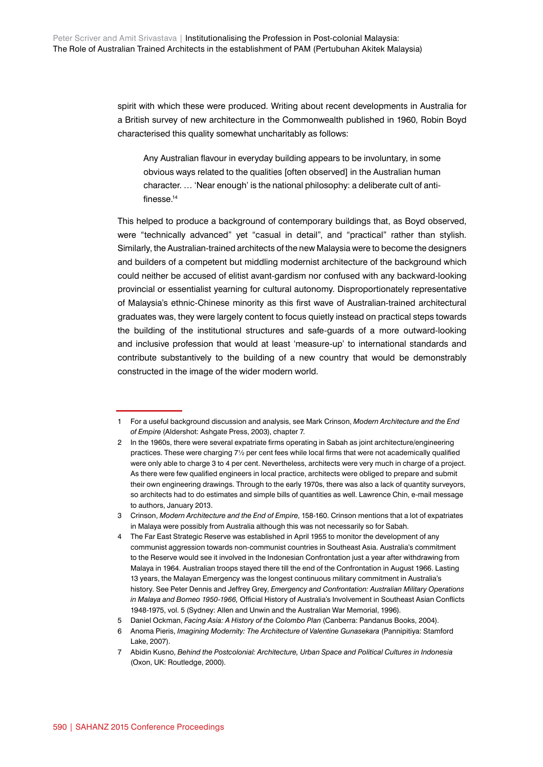spirit with which these were produced. Writing about recent developments in Australia for a British survey of new architecture in the Commonwealth published in 1960, Robin Boyd characterised this quality somewhat uncharitably as follows:

Any Australian flavour in everyday building appears to be involuntary, in some obvious ways related to the qualities [often observed] in the Australian human character. … 'Near enough' is the national philosophy: a deliberate cult of antifinesse.14

This helped to produce a background of contemporary buildings that, as Boyd observed, were "technically advanced" yet "casual in detail", and "practical" rather than stylish. Similarly, the Australian-trained architects of the new Malaysia were to become the designers and builders of a competent but middling modernist architecture of the background which could neither be accused of elitist avant-gardism nor confused with any backward-looking provincial or essentialist yearning for cultural autonomy. Disproportionately representative of Malaysia's ethnic-Chinese minority as this first wave of Australian-trained architectural graduates was, they were largely content to focus quietly instead on practical steps towards the building of the institutional structures and safe-guards of a more outward-looking and inclusive profession that would at least 'measure-up' to international standards and contribute substantively to the building of a new country that would be demonstrably constructed in the image of the wider modern world.

<sup>1</sup> For a useful background discussion and analysis, see Mark Crinson, *Modern Architecture and the End of Empire* (Aldershot: Ashgate Press, 2003), chapter 7.

<sup>2</sup> In the 1960s, there were several expatriate firms operating in Sabah as joint architecture/engineering practices. These were charging 7½ per cent fees while local firms that were not academically qualified were only able to charge 3 to 4 per cent. Nevertheless, architects were very much in charge of a project. As there were few qualified engineers in local practice, architects were obliged to prepare and submit their own engineering drawings. Through to the early 1970s, there was also a lack of quantity surveyors, so architects had to do estimates and simple bills of quantities as well. Lawrence Chin, e-mail message to authors, January 2013.

<sup>3</sup> Crinson, *Modern Architecture and the End of Empire*, 158-160. Crinson mentions that a lot of expatriates in Malaya were possibly from Australia although this was not necessarily so for Sabah.

<sup>4</sup> The Far East Strategic Reserve was established in April 1955 to monitor the development of any communist aggression towards non-communist countries in Southeast Asia. Australia's commitment to the Reserve would see it involved in the Indonesian Confrontation just a year after withdrawing from Malaya in 1964. Australian troops stayed there till the end of the Confrontation in August 1966. Lasting 13 years, the Malayan Emergency was the longest continuous military commitment in Australia's history. See Peter Dennis and Jeffrey Grey, *Emergency and Confrontation: Australian Military Operations in Malaya and Borneo 1950-1966,* Official History of Australia's Involvement in Southeast Asian Conflicts 1948-1975, vol. 5 (Sydney: Allen and Unwin and the Australian War Memorial, 1996).

<sup>5</sup> Daniel Ockman, *Facing Asia: A History of the Colombo Plan* (Canberra: Pandanus Books, 2004).

<sup>6</sup> Anoma Pieris, *Imagining Modernity: The Architecture of Valentine Gunasekara* (Pannipitiya: Stamford Lake, 2007).

<sup>7</sup> Abidin Kusno, *Behind the Postcolonial: Architecture, Urban Space and Political Cultures in Indonesia* (Oxon, UK: Routledge, 2000).